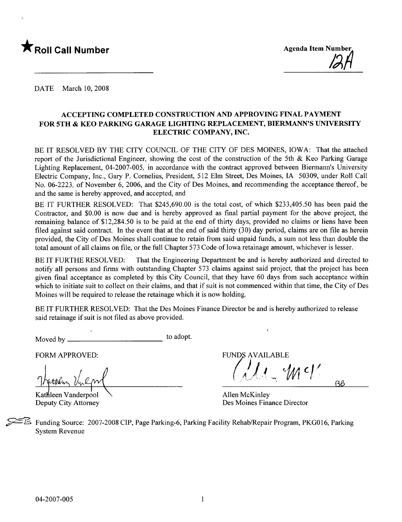

DATE March 10, 2008

#### ACCEPTING COMPLETED CONSTRUCTION AND APPROVING FINAL PAYMENT FOR 5TH & KEO PARKING GARAGE LIGHTING REPLACEMENT, BIERMANN'S UNIVERSITY ELECTRIC COMPANY, INC.

BE IT RESOLVED BY THE CITY COUNCIL OF THE CITY OF DES MOINES, IOWA: That the attached report of the Jurisdictional Engineer, showing the cost of the construction of the 5th & Keo Parking Garage Lighting Replacement, 04-2007-005, in accordance with the contract approved between Biermann's University Electric Company, Inc., Gary P. Cornelius, President, 512 Elm Street, Des Moines, IA 50309, under Roll Call No. 06-2223, of November 6, 2006, and the City of Des Moines, and recommending the acceptance thereof, be and the same is hereby approved, and accepted, and

BE IT FURTHER RESOLVED: That \$245,690.00 is the total cost, of which \$233,405.50 has been paid the Contractor, and \$0.00 is now due and is hereby approved as final partial payment for the above project, the remaining balance of \$12,284.50 is to be paid at the end of thirty days, provided no claims or liens have been filed against said contract. In the event that at the end of said thirty (30) day period, claims are on file as herein provided, the City of Des Moines shall continue to retain from said unpaid funds, a sum not less than double the total amount of all claims on file, or the full Chapter 573 Code of Iowa retainage amount, whichever is lesser.

BE IT FURTHE RESOLVED: That the Engineering Department be and is hereby authorized and directed to notify all persons and firms with outstanding Chapter 573 claims against said project, that the project has been given final acceptance as completed by this City Council, that they have 60 days from such acceptance within which to initiate suit to collect on their claims, and that if suit is not commenced within that time, the City of Des Moines will be required to release the retainage which it is now holding.

BE IT FURTHER RESOLVED: That the Des Moines Finance Director be and is hereby authorized to release said retainage if suit is not fied as above provided.

Moved by to adopt.

 $\frac{1}{\sqrt{11.4 \cdot 10^{11}} \cdot 10^{11}}$ 

Kathleen Vanderpool Deputy City Attorney

FORM APPROVED: THE SECOND STRUMBER OF A VAILABLE FUNDS AVAILABLE

 $1/$ 

Allen McKinley Des Moines Finance Director

Funding Source: 2007-2008 CIP, Page Parking-6, Parking Facility Rehab/Repair Program, PKG016, Parking System Revenue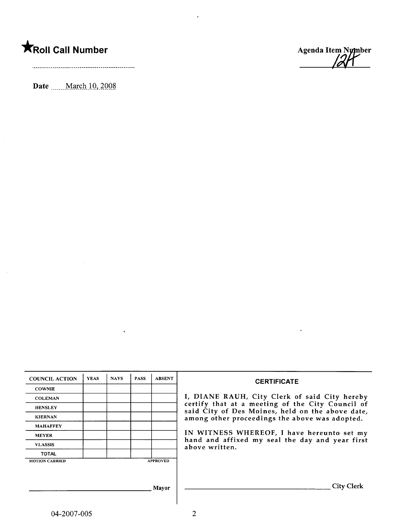## **KRoll Call Number**

 $\sim$ 

Date \_\_\_\_ March 10, 2008



 $\bar{\bf r}$ 

| <b>COUNCIL ACTION</b> | <b>YEAS</b> | <b>NAYS</b> | <b>PASS</b> | <b>ABSENT</b>   |                                                                                                    |
|-----------------------|-------------|-------------|-------------|-----------------|----------------------------------------------------------------------------------------------------|
| <b>COWNIE</b>         |             |             |             |                 | <b>CERTIFICATE</b>                                                                                 |
| <b>COLEMAN</b>        |             |             |             |                 | I, DIANE RAUH, City Clerk of said City hereby                                                      |
| <b>HENSLEY</b>        |             |             |             |                 | certify that at a meeting of the City Council of                                                   |
| <b>KIERNAN</b>        |             |             |             |                 | said City of Des Moines, held on the above date,<br>among other proceedings the above was adopted. |
| <b>MAHAFFEY</b>       |             |             |             |                 |                                                                                                    |
| <b>MEYER</b>          |             |             |             |                 | IN WITNESS WHEREOF, I have hereunto set my                                                         |
| <b>VLASSIS</b>        |             |             |             |                 | hand and affixed my seal the day and year first<br>above written.                                  |
| <b>TOTAL</b>          |             |             |             |                 |                                                                                                    |
| <b>MOTION CARRIED</b> |             |             |             | <b>APPROVED</b> |                                                                                                    |
|                       |             |             |             |                 |                                                                                                    |
|                       |             |             |             |                 |                                                                                                    |
|                       |             |             |             | Mayor           | <b>City Clerk</b>                                                                                  |
|                       |             |             |             |                 |                                                                                                    |

 $\ddot{\phantom{0}}$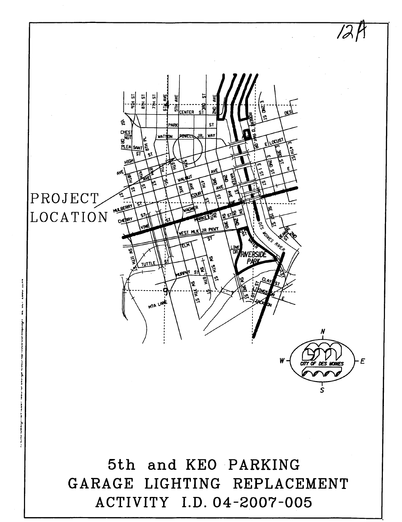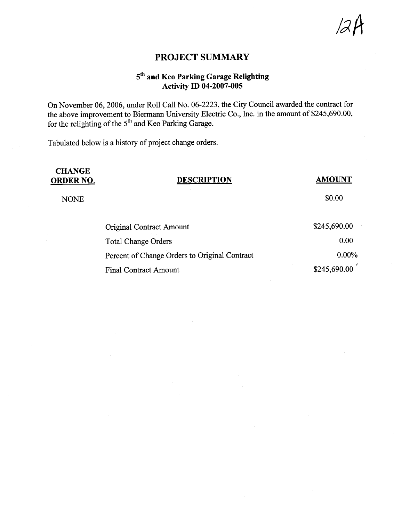$\mathscr{A}H$ 

#### PROJECT SUMMARY

### 5th and Keo Parking Garage Relighting Activity ID 04-2007-005

On November 06, 2006, under Roll Call No. 06-2223, the City Council awarded the contract for the above improvement to Biermann University Electric Co., Inc. in the amount of \$245,690.00, for the relighting of the 5<sup>th</sup> and Keo Parking Garage.

Tabulated below is a history of project change orders.

## **CHANGE**<br>ORDER NO.

#### DESCRIPTION AMOUNT

NONE  $$0.00$ 

| <b>Original Contract Amount</b>               | \$245,690.00 |
|-----------------------------------------------|--------------|
| <b>Total Change Orders</b>                    | 0.00         |
| Percent of Change Orders to Original Contract | $0.00\%$     |
| <b>Final Contract Amount</b>                  | \$245,690.00 |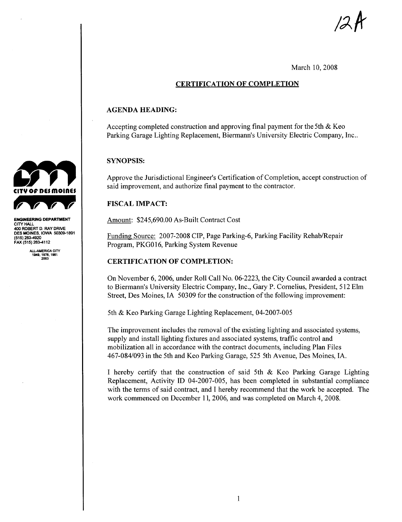/2 A

#### March 10, 2008

#### CERTIFICATION OF COMPLETION

#### AGENDA HEADING:

Accepting completed construction and approving final payment for the 5th & Keo Parking Garage Lighting Replacement, Biermann's University Electric Company, Inc..

#### SYNOPSIS:

Approve the Jurisdictional Engineer's Certification of Completion, accept construction of said improvement, and authorize final payment to the contractor.

#### **FISCAL IMPACT:**

Amount: \$245,690.00 As-Built Contract Cost

Funding Source: 2007-2008 CIP, Page Parking-6, Parking Facility Rehab/Repair Program, PKG016, Parking System Revenue

#### CERTIFICATION OF COMPLETION:

On November 6,2006, under Roll Call No. 06-2223, the City Council awarded a contract to Biermann's University Electric Company, Inc., Gary P. Cornelius, President, 512 Elm Street, Des Moines, IA 50309 for the construction of the following improvement:

5th & Keo Parking Garage Lighting Replacement, 04-2007-005

The improvement includes the removal of the existing lighting and associated systems, supply and install lighting fixtures and associated systems, traffic control and mobilization all in accordance with the contract documents, including Plan Files 467-084/093 in the 5th and Keo Parking Garage, 525 5th Avenue, Des Moines, IA.

I hereby certify that the construction of said 5th & Keo Parking Garage Lighting Replacement, Activity ID 04-2007-005, has been completed in substantial compliance with the terms of said contract, and I hereby recommend that the work be accepted. The work commenced on December 11, 2006, and was completed on March 4, 2008.



CITY HAl 40 ROBERT D. RAY DRIVE DES MOINES, IOWA 50309-1891<br>(515) 283-4920 FAX (515) 283-4112

ALL-AMERICA CITY<br>1949, 1976, 1981<br>2003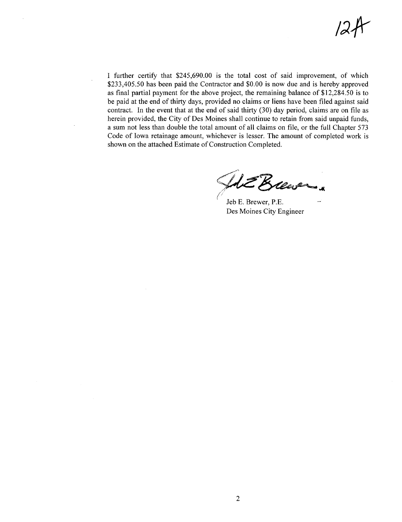$12A$ 

I further certify that \$245,690.00 is the total cost of said improvement, of which \$233,405.50 has been paid the Contractor and \$0.00 is now due and is hereby approved as final partial payment for the above project, the remaining balance of \$12,284,50 is to be paid at the end of thirty days, provided no claims or liens have been filed against said contract. In the event that at the end of said thirty  $(30)$  day period, claims are on file as herein provided, the City of Des Moines shall continue to retain from said unpaid funds, a sum not less than double the total amount of all claims on fie, or the full Chapter 573 Code of Iowa retainage amount, whichever is lesser. The amount of completed work is shown on the attached Estimate of Construction Completed.

**SE Krewer** 

Jeb E. Brewer, P.E. Des Moines City Engineer